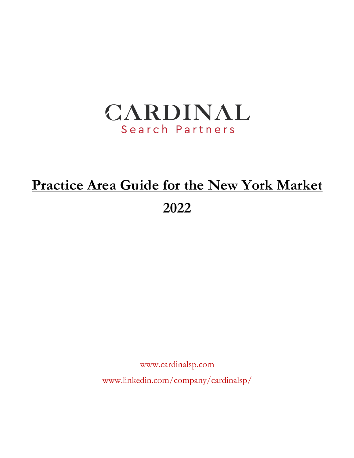

# **Practice Area Guide for the New York Market 2022**

www.cardinalsp.com

www.linkedin.com/company/cardinalsp/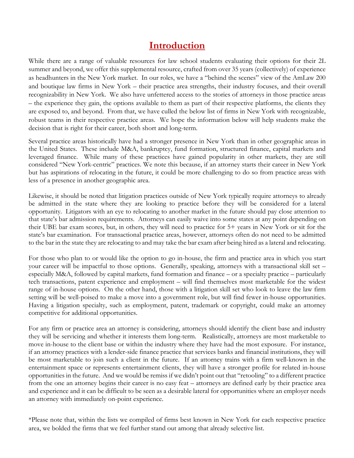# **Introduction**

While there are a range of valuable resources for law school students evaluating their options for their 2L summer and beyond, we offer this supplemental resource, crafted from over 35 years (collectively) of experience as headhunters in the New York market. In our roles, we have a "behind the scenes" view of the AmLaw 200 and boutique law firms in New York – their practice area strengths, their industry focuses, and their overall recognizability in New York. We also have unfettered access to the stories of attorneys in those practice areas – the experience they gain, the options available to them as part of their respective platforms, the clients they are exposed to, and beyond. From that, we have culled the below list of firms in New York with recognizable, robust teams in their respective practice areas. We hope the information below will help students make the decision that is right for their career, both short and long-term.

Several practice areas historically have had a stronger presence in New York than in other geographic areas in the United States. These include M&A, bankruptcy, fund formation, structured finance, capital markets and leveraged finance. While many of these practices have gained popularity in other markets, they are still considered "New York-centric" practices. We note this because, if an attorney starts their career in New York but has aspirations of relocating in the future, it could be more challenging to do so from practice areas with less of a presence in another geographic area.

Likewise, it should be noted that litigation practices outside of New York typically require attorneys to already be admitted in the state where they are looking to practice before they will be considered for a lateral opportunity. Litigators with an eye to relocating to another market in the future should pay close attention to that state's bar admission requirements. Attorneys can easily waive into some states at any point depending on their UBE bar exam scores, but, in others, they will need to practice for 5+ years in New York or sit for the state's bar examination. For transactional practice areas, however, attorneys often do not need to be admitted to the bar in the state they are relocating to and may take the bar exam after being hired as a lateral and relocating.

For those who plan to or would like the option to go in-house, the firm and practice area in which you start your career will be impactful to those options. Generally, speaking, attorneys with a transactional skill set – especially M&A, followed by capital markets, fund formation and finance – or a specialty practice – particularly tech transactions, patent experience and employment – will find themselves most marketable for the widest range of in-house options. On the other hand, those with a litigation skill set who look to leave the law firm setting will be well-poised to make a move into a government role, but will find fewer in-house opportunities. Having a litigation specialty, such as employment, patent, trademark or copyright, could make an attorney competitive for additional opportunities.

For any firm or practice area an attorney is considering, attorneys should identify the client base and industry they will be servicing and whether it interests them long-term. Realistically, attorneys are most marketable to move in-house to the client base or within the industry where they have had the most exposure. For instance, if an attorney practices with a lender-side finance practice that services banks and financial institutions, they will be most marketable to join such a client in the future. If an attorney trains with a firm well-known in the entertainment space or represents entertainment clients, they will have a stronger profile for related in-house opportunities in the future. And we would be remiss if we didn't point out that "retooling" to a different practice from the one an attorney begins their career is no easy feat – attorneys are defined early by their practice area and experience and it can be difficult to be seen as a desirable lateral for opportunities where an employer needs an attorney with immediately on-point experience.

\*Please note that, within the lists we compiled of firms best known in New York for each respective practice area, we bolded the firms that we feel further stand out among that already selective list.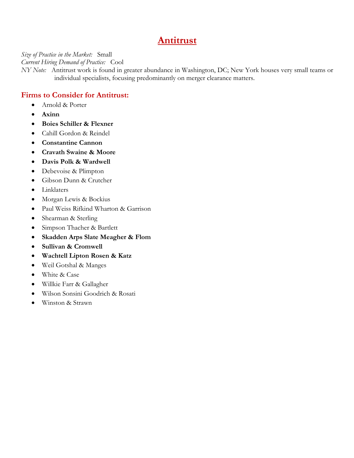# **Antitrust**

*Size of Practice in the Market:* Small

*Current Hiring Demand of Practice:* Cool

*NY Note:* Antitrust work is found in greater abundance in Washington, DC; New York houses very small teams or individual specialists, focusing predominantly on merger clearance matters.

### **Firms to Consider for Antitrust:**

- Arnold & Porter
- **Axinn**
- **Boies Schiller & Flexner**
- Cahill Gordon & Reindel
- **Constantine Cannon**
- **Cravath Swaine & Moore**
- **Davis Polk & Wardwell**
- Debevoise & Plimpton
- Gibson Dunn & Crutcher
- Linklaters
- Morgan Lewis & Bockius
- Paul Weiss Rifkind Wharton & Garrison
- Shearman & Sterling
- Simpson Thacher & Bartlett
- **Skadden Arps Slate Meagher & Flom**
- **Sullivan & Cromwell**
- **Wachtell Lipton Rosen & Katz**
- Weil Gotshal & Manges
- White & Case
- Willkie Farr & Gallagher
- Wilson Sonsini Goodrich & Rosati
- Winston & Strawn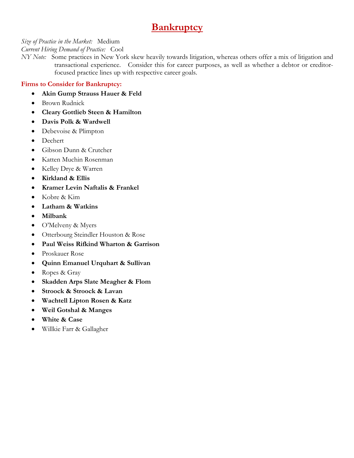# **Bankruptcy**

*Size of Practice in the Market:* Medium

*Current Hiring Demand of Practice:* Cool

*NY Note:* Some practices in New York skew heavily towards litigation, whereas others offer a mix of litigation and transactional experience. Consider this for career purposes, as well as whether a debtor or creditorfocused practice lines up with respective career goals.

### **Firms to Consider for Bankruptcy:**

- **Akin Gump Strauss Hauer & Feld**
- Brown Rudnick
- **Cleary Gottlieb Steen & Hamilton**
- **Davis Polk & Wardwell**
- Debevoise & Plimpton
- Dechert
- Gibson Dunn & Crutcher
- Katten Muchin Rosenman
- Kelley Drye & Warren
- **Kirkland & Ellis**
- **Kramer Levin Naftalis & Frankel**
- Kobre & Kim
- **Latham & Watkins**
- **Milbank**
- O'Melveny & Myers
- Otterbourg Steindler Houston & Rose
- **Paul Weiss Rifkind Wharton & Garrison**
- Proskauer Rose
- **Quinn Emanuel Urquhart & Sullivan**
- Ropes & Gray
- **Skadden Arps Slate Meagher & Flom**
- **Stroock & Stroock & Lavan**
- **Wachtell Lipton Rosen & Katz**
- **Weil Gotshal & Manges**
- **White & Case**
- Willkie Farr & Gallagher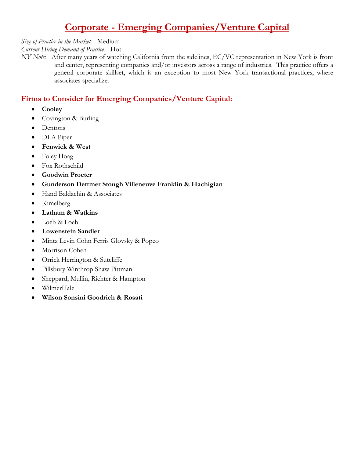# **Corporate - Emerging Companies/Venture Capital**

#### *Size of Practice in the Market:* Medium

*Current Hiring Demand of Practice:* Hot

*NY Note:* After many years of watching California from the sidelines, EC/VC representation in New York is front and center, representing companies and/or investors across a range of industries. This practice offers a general corporate skillset, which is an exception to most New York transactional practices, where associates specialize.

### **Firms to Consider for Emerging Companies/Venture Capital:**

- **Cooley**
- Covington & Burling
- Dentons
- DLA Piper
- **Fenwick & West**
- Foley Hoag
- Fox Rothschild
- **Goodwin Procter**
- **Gunderson Dettmer Stough Villeneuve Franklin & Hachigian**
- Hand Baldachin & Associates
- Kimelberg
- **Latham & Watkins**
- Loeb & Loeb
- **Lowenstein Sandler**
- Mintz Levin Cohn Ferris Glovsky & Popeo
- Morrison Cohen
- Orrick Herrington & Sutcliffe
- Pillsbury Winthrop Shaw Pittman
- Sheppard, Mullin, Richter & Hampton
- WilmerHale
- **Wilson Sonsini Goodrich & Rosati**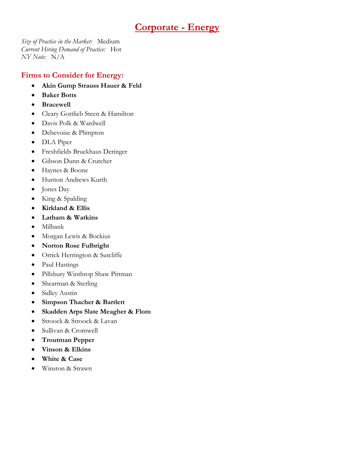# **Corporate - Energy**

*Size of Practice in the Market:* Medium *Current Hiring Demand of Practice:* Hot *NY Note:* N/A

### **Firms to Consider for Energy:**

- **Akin Gump Strauss Hauer & Feld**
- **Baker Botts**
- **Bracewell**
- Cleary Gottlieb Steen & Hamilton
- Davis Polk & Wardwell
- Debevoise & Plimpton
- DLA Piper
- Freshfields Bruckhaus Deringer
- Gibson Dunn & Crutcher
- Haynes & Boone
- Hunton Andrews Kurth
- Jones Day
- King & Spalding
- **Kirkland & Ellis**
- **Latham & Watkins**
- Milbank
- Morgan Lewis & Bockius
- **Norton Rose Fulbright**
- Orrick Herrington & Sutcliffe
- Paul Hastings
- Pillsbury Winthrop Shaw Pittman
- Shearman & Sterling
- Sidley Austin
- **Simpson Thacher & Bartlett**
- **Skadden Arps Slate Meagher & Flom**
- Stroock & Stroock & Lavan
- Sullivan & Cromwell
- **Troutman Pepper**
- **Vinson & Elkins**
- **White & Case**
- Winston & Strawn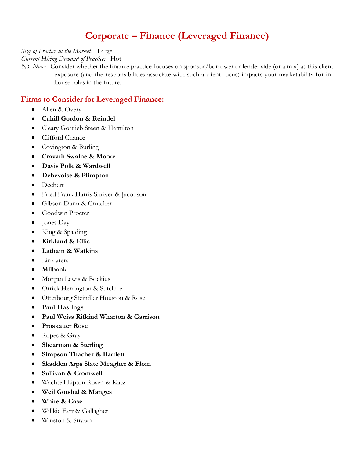# **Corporate – Finance (Leveraged Finance)**

*Size of Practice in the Market:* Large

*Current Hiring Demand of Practice:* Hot

*NY Note:* Consider whether the finance practice focuses on sponsor/borrower or lender side (or a mix) as this client exposure (and the responsibilities associate with such a client focus) impacts your marketability for inhouse roles in the future.

### **Firms to Consider for Leveraged Finance:**

- Allen & Overy
- **Cahill Gordon & Reindel**
- Cleary Gottlieb Steen & Hamilton
- Clifford Chance
- Covington & Burling
- **Cravath Swaine & Moore**
- **Davis Polk & Wardwell**
- **Debevoise & Plimpton**
- Dechert
- Fried Frank Harris Shriver & Jacobson
- Gibson Dunn & Crutcher
- Goodwin Procter
- Jones Day
- King & Spalding
- **Kirkland & Ellis**
- **Latham & Watkins**
- Linklaters
- **Milbank**
- Morgan Lewis & Bockius
- Orrick Herrington & Sutcliffe
- Otterbourg Steindler Houston & Rose
- **Paul Hastings**
- **Paul Weiss Rifkind Wharton & Garrison**
- **Proskauer Rose**
- Ropes & Gray
- **Shearman & Sterling**
- **Simpson Thacher & Bartlett**
- **Skadden Arps Slate Meagher & Flom**
- **Sullivan & Cromwell**
- Wachtell Lipton Rosen & Katz
- **Weil Gotshal & Manges**
- **White & Case**
- Willkie Farr & Gallagher
- Winston & Strawn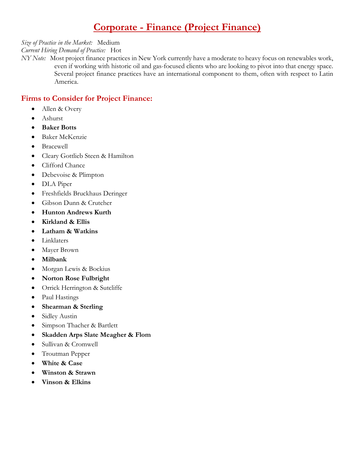# **Corporate - Finance (Project Finance)**

*Size of Practice in the Market:* Medium

*Current Hiring Demand of Practice:* Hot

*NY Note:* Most project finance practices in New York currently have a moderate to heavy focus on renewables work, even if working with historic oil and gas-focused clients who are looking to pivot into that energy space. Several project finance practices have an international component to them, often with respect to Latin America.

### **Firms to Consider for Project Finance:**

- Allen & Overy
- Ashurst
- **Baker Botts**
- Baker McKenzie
- **Bracewell**
- Cleary Gottlieb Steen & Hamilton
- Clifford Chance
- Debevoise & Plimpton
- DLA Piper
- Freshfields Bruckhaus Deringer
- Gibson Dunn & Crutcher
- **Hunton Andrews Kurth**
- **Kirkland & Ellis**
- **Latham & Watkins**
- Linklaters
- Mayer Brown
- **Milbank**
- Morgan Lewis & Bockius
- **Norton Rose Fulbright**
- Orrick Herrington & Sutcliffe
- Paul Hastings
- **Shearman & Sterling**
- Sidley Austin
- Simpson Thacher & Bartlett
- **Skadden Arps Slate Meagher & Flom**
- Sullivan & Cromwell
- Troutman Pepper
- **White & Case**
- **Winston & Strawn**
- **Vinson & Elkins**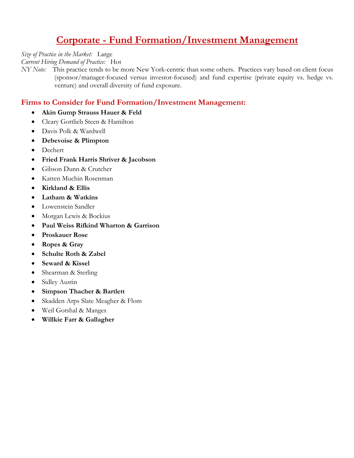# **Corporate - Fund Formation/Investment Management**

*Size of Practice in the Market:* Large

*Current Hiring Demand of Practice:* Hot

*NY Note:* This practice tends to be more New York-centric than some others. Practices vary based on client focus (sponsor/manager-focused versus investor-focused) and fund expertise (private equity vs. hedge vs. venture) and overall diversity of fund exposure.

### **Firms to Consider for Fund Formation/Investment Management:**

- **Akin Gump Strauss Hauer & Feld**
- Cleary Gottlieb Steen & Hamilton
- Davis Polk & Wardwell
- **Debevoise & Plimpton**
- Dechert
- **Fried Frank Harris Shriver & Jacobson**
- Gibson Dunn & Crutcher
- Katten Muchin Rosenman
- **Kirkland & Ellis**
- **Latham & Watkins**
- Lowenstein Sandler
- Morgan Lewis & Bockius
- **Paul Weiss Rifkind Wharton & Garrison**
- **Proskauer Rose**
- **Ropes & Gray**
- **Schulte Roth & Zabel**
- **Seward & Kissel**
- Shearman & Sterling
- Sidley Austin
- **Simpson Thacher & Bartlett**
- Skadden Arps Slate Meagher & Flom
- Weil Gotshal & Manges
- **Willkie Farr & Gallagher**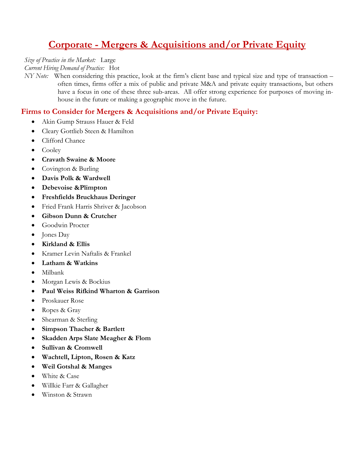# **Corporate - Mergers & Acquisitions and/or Private Equity**

*Size of Practice in the Market:* Large

*Current Hiring Demand of Practice:* Hot

*NY Note:* When considering this practice, look at the firm's client base and typical size and type of transaction – often times, firms offer a mix of public and private M&A and private equity transactions, but others have a focus in one of these three sub-areas. All offer strong experience for purposes of moving inhouse in the future or making a geographic move in the future.

### **Firms to Consider for Mergers & Acquisitions and/or Private Equity:**

- Akin Gump Strauss Hauer & Feld
- Cleary Gottlieb Steen & Hamilton
- Clifford Chance
- Cooley
- **Cravath Swaine & Moore**
- Covington & Burling
- **Davis Polk & Wardwell**
- **Debevoise &Plimpton**
- **Freshfields Bruckhaus Deringer**
- Fried Frank Harris Shriver & Jacobson
- **Gibson Dunn & Crutcher**
- Goodwin Procter
- Jones Day
- **Kirkland & Ellis**
- Kramer Levin Naftalis & Frankel
- **Latham & Watkins**
- Milbank
- Morgan Lewis & Bockius
- **Paul Weiss Rifkind Wharton & Garrison**
- Proskauer Rose
- Ropes & Gray
- Shearman & Sterling
- **Simpson Thacher & Bartlett**
- **Skadden Arps Slate Meagher & Flom**
- **Sullivan & Cromwell**
- **Wachtell, Lipton, Rosen & Katz**
- **Weil Gotshal & Manges**
- White & Case
- Willkie Farr & Gallagher
- Winston & Strawn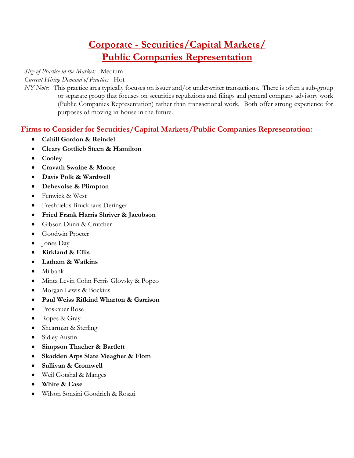# **Corporate - Securities/Capital Markets/ Public Companies Representation**

#### *Size of Practice in the Market:* Medium

*Current Hiring Demand of Practice:* Hot

*NY Note:* This practice area typically focuses on issuer and/or underwriter transactions. There is often a sub-group or separate group that focuses on securities regulations and filings and general company advisory work (Public Companies Representation) rather than transactional work. Both offer strong experience for purposes of moving in-house in the future.

### **Firms to Consider for Securities/Capital Markets/Public Companies Representation:**

- **Cahill Gordon & Reindel**
- **Cleary Gottlieb Steen & Hamilton**
- **Cooley**
- **Cravath Swaine & Moore**
- **Davis Polk & Wardwell**
- **Debevoise & Plimpton**
- Fenwick & West
- Freshfields Bruckhaus Deringer
- **Fried Frank Harris Shriver & Jacobson**
- Gibson Dunn & Crutcher
- Goodwin Procter
- Jones Day
- **Kirkland & Ellis**
- **Latham & Watkins**
- Milbank
- Mintz Levin Cohn Ferris Glovsky & Popeo
- Morgan Lewis & Bockius
- **Paul Weiss Rifkind Wharton & Garrison**
- Proskauer Rose
- Ropes & Gray
- Shearman & Sterling
- Sidley Austin
- **Simpson Thacher & Bartlett**
- **Skadden Arps Slate Meagher & Flom**
- **Sullivan & Cromwell**
- Weil Gotshal & Manges
- **White & Case**
- Wilson Sonsini Goodrich & Rosati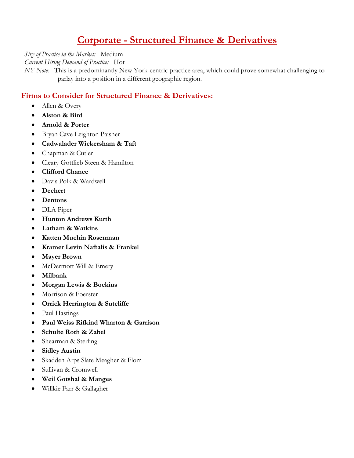# **Corporate - Structured Finance & Derivatives**

*Size of Practice in the Market:* Medium

*Current Hiring Demand of Practice:* Hot

*NY Note:* This is a predominantly New York-centric practice area, which could prove somewhat challenging to parlay into a position in a different geographic region.

### **Firms to Consider for Structured Finance & Derivatives:**

- Allen & Overy
- **Alston & Bird**
- **Arnold & Porter**
- Bryan Cave Leighton Paisner
- **Cadwalader Wickersham & Taft**
- Chapman & Cutler
- Cleary Gottlieb Steen & Hamilton
- **Clifford Chance**
- Davis Polk & Wardwell
- **Dechert**
- **Dentons**
- DLA Piper
- **Hunton Andrews Kurth**
- **Latham & Watkins**
- **Katten Muchin Rosenman**
- **Kramer Levin Naftalis & Frankel**
- **Mayer Brown**
- McDermott Will & Emery
- **Milbank**
- **Morgan Lewis & Bockius**
- Morrison & Foerster
- **Orrick Herrington & Sutcliffe**
- Paul Hastings
- **Paul Weiss Rifkind Wharton & Garrison**
- **Schulte Roth & Zabel**
- Shearman & Sterling
- **Sidley Austin**
- Skadden Arps Slate Meagher & Flom
- Sullivan & Cromwell
- **Weil Gotshal & Manges**
- Willkie Farr & Gallagher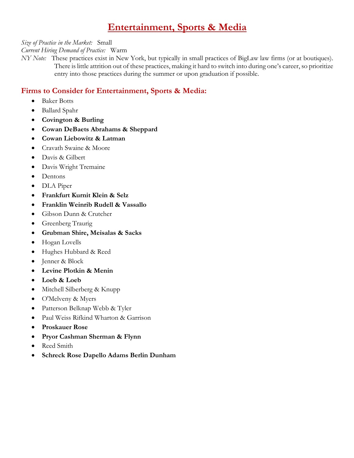# **Entertainment, Sports & Media**

*Size of Practice in the Market:* Small

*Current Hiring Demand of Practice:* Warm

*NY Note:* These practices exist in New York, but typically in small practices of BigLaw law firms (or at boutiques). There is little attrition out of these practices, making it hard to switch into during one's career, so prioritize entry into those practices during the summer or upon graduation if possible.

### **Firms to Consider for Entertainment, Sports & Media:**

- Baker Botts
- Ballard Spahr
- **Covington & Burling**
- **Cowan DeBaets Abrahams & Sheppard**
- **Cowan Liebowitz & Latman**
- Cravath Swaine & Moore
- Davis & Gilbert
- Davis Wright Tremaine
- Dentons
- DLA Piper
- **Frankfurt Kurnit Klein & Selz**
- **Franklin Weinrib Rudell & Vassallo**
- Gibson Dunn & Crutcher
- Greenberg Traurig
- **Grubman Shire, Meisalas & Sacks**
- Hogan Lovells
- Hughes Hubbard & Reed
- Jenner & Block
- **Levine Plotkin & Menin**
- **Loeb & Loeb**
- Mitchell Silberberg & Knupp
- O'Melveny & Myers
- Patterson Belknap Webb & Tyler
- Paul Weiss Rifkind Wharton & Garrison
- **Proskauer Rose**
- **Pryor Cashman Sherman & Flynn**
- Reed Smith
- **Schreck Rose Dapello Adams Berlin Dunham**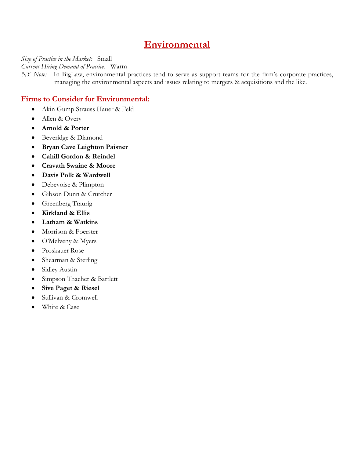# **Environmental**

*Size of Practice in the Market:* Small

*Current Hiring Demand of Practice:* Warm

*NY Note:* In BigLaw, environmental practices tend to serve as support teams for the firm's corporate practices, managing the environmental aspects and issues relating to mergers & acquisitions and the like.

### **Firms to Consider for Environmental:**

- Akin Gump Strauss Hauer & Feld
- Allen & Overy
- **Arnold & Porter**
- Beveridge & Diamond
- **Bryan Cave Leighton Paisner**
- **Cahill Gordon & Reindel**
- **Cravath Swaine & Moore**
- **Davis Polk & Wardwell**
- Debevoise & Plimpton
- Gibson Dunn & Crutcher
- Greenberg Traurig
- **Kirkland & Ellis**
- **Latham & Watkins**
- Morrison & Foerster
- O'Melveny & Myers
- Proskauer Rose
- Shearman & Sterling
- Sidley Austin
- Simpson Thacher & Bartlett
- **Sive Paget & Riesel**
- Sullivan & Cromwell
- White & Case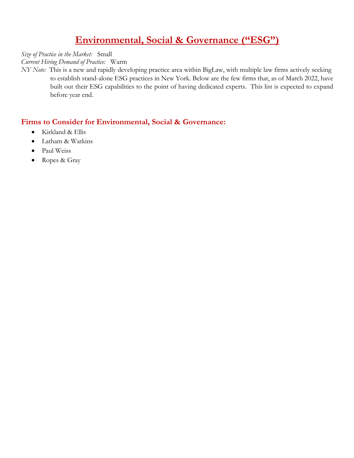# **Environmental, Social & Governance ("ESG")**

*Size of Practice in the Market:* Small

*Current Hiring Demand of Practice:* Warm

*NY Note:* This is a new and rapidly developing practice area within BigLaw, with multiple law firms actively seeking to establish stand-alone ESG practices in New York. Below are the few firms that, as of March 2022, have built out their ESG capabilities to the point of having dedicated experts. This list is expected to expand before year end.

### **Firms to Consider for Environmental, Social & Governance:**

- Kirkland & Ellis
- Latham & Watkins
- Paul Weiss
- Ropes & Gray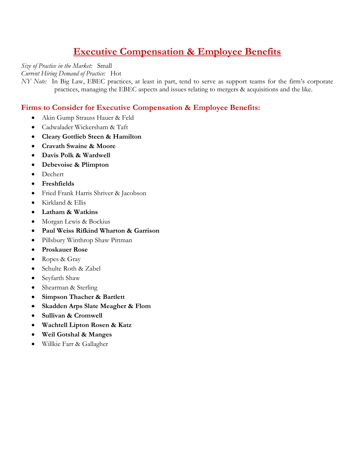# **Executive Compensation & Employee Benefits**

*Size of Practice in the Market:* Small

*Current Hiring Demand of Practice:* Hot

*NY Note:* In Big Law, EBEC practices, at least in part, tend to serve as support teams for the firm's corporate practices, managing the EBEC aspects and issues relating to mergers & acquisitions and the like.

### **Firms to Consider for Executive Compensation & Employee Benefits:**

- Akin Gump Strauss Hauer & Feld
- Cadwalader Wickersham & Taft
- **Cleary Gottlieb Steen & Hamilton**
- **Cravath Swaine & Moore**
- **Davis Polk & Wardwell**
- **Debevoise & Plimpton**
- Dechert
- **Freshfields**
- Fried Frank Harris Shriver & Jacobson
- Kirkland & Ellis
- **Latham & Watkins**
- Morgan Lewis & Bockius
- **Paul Weiss Rifkind Wharton & Garrison**
- Pillsbury Winthrop Shaw Pittman
- **Proskauer Rose**
- Ropes & Gray
- Schulte Roth & Zabel
- Seyfarth Shaw
- Shearman & Sterling
- **Simpson Thacher & Bartlett**
- **Skadden Arps Slate Meagher & Flom**
- **Sullivan & Cromwell**
- **Wachtell Lipton Rosen & Katz**
- **Weil Gotshal & Manges**
- Willkie Farr & Gallagher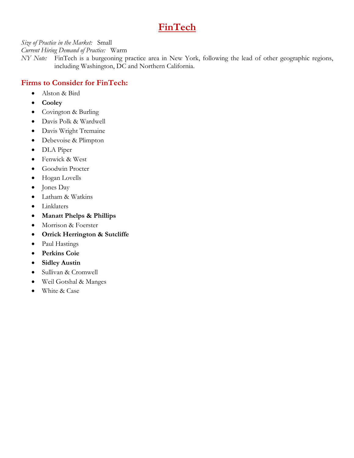# **FinTech**

*Size of Practice in the Market:* Small

*Current Hiring Demand of Practice:* Warm

*NY Note:* FinTech is a burgeoning practice area in New York, following the lead of other geographic regions, including Washington, DC and Northern California.

### **Firms to Consider for FinTech:**

- Alston & Bird
- **Cooley**
- Covington & Burling
- Davis Polk & Wardwell
- Davis Wright Tremaine
- Debevoise & Plimpton
- DLA Piper
- Fenwick & West
- Goodwin Procter
- Hogan Lovells
- Jones Day
- Latham & Watkins
- Linklaters
- **Manatt Phelps & Phillips**
- Morrison & Foerster
- **Orrick Herrington & Sutcliffe**
- Paul Hastings
- **Perkins Coie**
- **Sidley Austin**
- Sullivan & Cromwell
- Weil Gotshal & Manges
- White & Case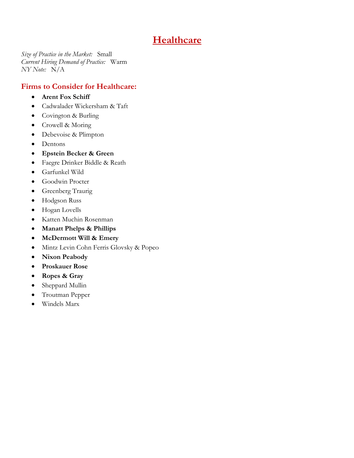# **Healthcare**

*Size of Practice in the Market:* Small *Current Hiring Demand of Practice:* Warm *NY Note:* N/A

### **Firms to Consider for Healthcare:**

- **Arent Fox Schiff**
- Cadwalader Wickersham & Taft
- Covington & Burling
- Crowell & Moring
- Debevoise & Plimpton
- Dentons
- **Epstein Becker & Green**
- Faegre Drinker Biddle & Reath
- Garfunkel Wild
- Goodwin Procter
- Greenberg Traurig
- Hodgson Russ
- Hogan Lovells
- Katten Muchin Rosenman
- **Manatt Phelps & Phillips**
- **McDermott Will & Emery**
- Mintz Levin Cohn Ferris Glovsky & Popeo
- **Nixon Peabody**
- **Proskauer Rose**
- **Ropes & Gray**
- Sheppard Mullin
- Troutman Pepper
- Windels Marx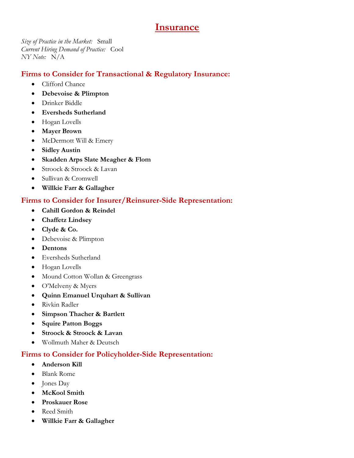# **Insurance**

*Size of Practice in the Market:* Small *Current Hiring Demand of Practice:* Cool *NY Note:* N/A

### **Firms to Consider for Transactional & Regulatory Insurance:**

- Clifford Chance
- **Debevoise & Plimpton**
- Drinker Biddle
- **Eversheds Sutherland**
- Hogan Lovells
- **Mayer Brown**
- McDermott Will & Emery
- **Sidley Austin**
- **Skadden Arps Slate Meagher & Flom**
- Stroock & Stroock & Lavan
- Sullivan & Cromwell
- **Willkie Farr & Gallagher**

### **Firms to Consider for Insurer/Reinsurer-Side Representation:**

- **Cahill Gordon & Reindel**
- **Chaffetz Lindsey**
- **Clyde & Co.**
- Debevoise & Plimpton
- **Dentons**
- Eversheds Sutherland
- Hogan Lovells
- Mound Cotton Wollan & Greengrass
- O'Melveny & Myers
- **Quinn Emanuel Urquhart & Sullivan**
- Rivkin Radler
- **Simpson Thacher & Bartlett**
- **Squire Patton Boggs**
- **Stroock & Stroock & Lavan**
- Wollmuth Maher & Deutsch

### **Firms to Consider for Policyholder-Side Representation:**

- **Anderson Kill**
- Blank Rome
- Jones Day
- **McKool Smith**
- **Proskauer Rose**
- Reed Smith
- **Willkie Farr & Gallagher**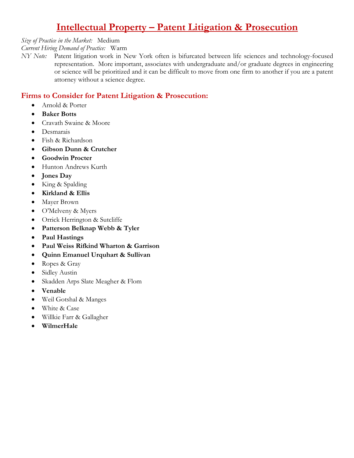# **Intellectual Property – Patent Litigation & Prosecution**

#### *Size of Practice in the Market:* Medium

#### *Current Hiring Demand of Practice:* Warm

*NY Note:* Patent litigation work in New York often is bifurcated between life sciences and technology-focused representation. More important, associates with undergraduate and/or graduate degrees in engineering or science will be prioritized and it can be difficult to move from one firm to another if you are a patent attorney without a science degree.

### **Firms to Consider for Patent Litigation & Prosecution:**

- Arnold & Porter
- **Baker Botts**
- Cravath Swaine & Moore
- Desmarais
- Fish & Richardson
- **Gibson Dunn & Crutcher**
- **Goodwin Procter**
- Hunton Andrews Kurth
- **Jones Day**
- King & Spalding
- **Kirkland & Ellis**
- Mayer Brown
- O'Melveny & Myers
- Orrick Herrington & Sutcliffe
- **Patterson Belknap Webb & Tyler**
- **Paul Hastings**
- **Paul Weiss Rifkind Wharton & Garrison**
- **Quinn Emanuel Urquhart & Sullivan**
- Ropes & Gray
- Sidley Austin
- Skadden Arps Slate Meagher & Flom
- **Venable**
- Weil Gotshal & Manges
- White & Case
- Willkie Farr & Gallagher
- **WilmerHale**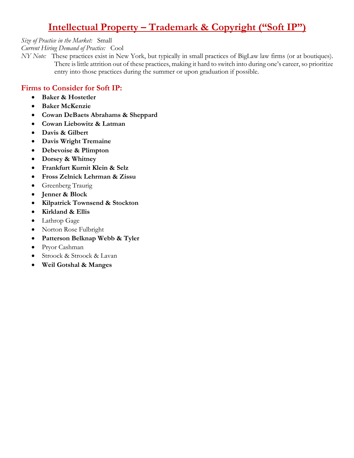# **Intellectual Property – Trademark & Copyright ("Soft IP")**

*Size of Practice in the Market:* Small

*Current Hiring Demand of Practice:* Cool

*NY Note:* These practices exist in New York, but typically in small practices of BigLaw law firms (or at boutiques). There is little attrition out of these practices, making it hard to switch into during one's career, so prioritize entry into those practices during the summer or upon graduation if possible.

### **Firms to Consider for Soft IP:**

- **Baker & Hostetler**
- **Baker McKenzie**
- **Cowan DeBaets Abrahams & Sheppard**
- **Cowan Liebowitz & Latman**
- **Davis & Gilbert**
- **Davis Wright Tremaine**
- **Debevoise & Plimpton**
- **Dorsey & Whitney**
- **Frankfurt Kurnit Klein & Selz**
- **Fross Zelnick Lehrman & Zissu**
- Greenberg Traurig
- **Jenner & Block**
- **Kilpatrick Townsend & Stockton**
- **Kirkland & Ellis**
- Lathrop Gage
- Norton Rose Fulbright
- **Patterson Belknap Webb & Tyler**
- Pryor Cashman
- Stroock & Stroock & Lavan
- **Weil Gotshal & Manges**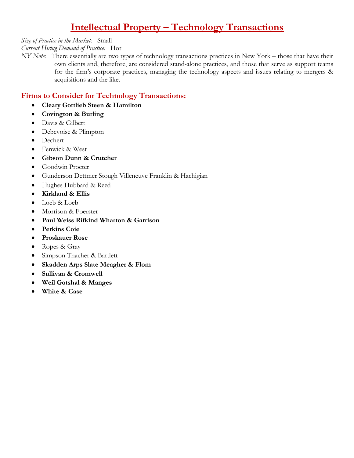# **Intellectual Property – Technology Transactions**

*Size of Practice in the Market:* Small

#### *Current Hiring Demand of Practice:* Hot

*NY Note:* There essentially are two types of technology transactions practices in New York – those that have their own clients and, therefore, are considered stand-alone practices, and those that serve as support teams for the firm's corporate practices, managing the technology aspects and issues relating to mergers & acquisitions and the like.

### **Firms to Consider for Technology Transactions:**

- **Cleary Gottlieb Steen & Hamilton**
- **Covington & Burling**
- Davis & Gilbert
- Debevoise & Plimpton
- Dechert
- Fenwick & West
- **Gibson Dunn & Crutcher**
- Goodwin Procter
- Gunderson Dettmer Stough Villeneuve Franklin & Hachigian
- Hughes Hubbard & Reed
- **Kirkland & Ellis**
- Loeb & Loeb
- Morrison & Foerster
- **Paul Weiss Rifkind Wharton & Garrison**
- **Perkins Coie**
- **Proskauer Rose**
- Ropes & Gray
- Simpson Thacher & Bartlett
- **Skadden Arps Slate Meagher & Flom**
- **Sullivan & Cromwell**
- **Weil Gotshal & Manges**
- **White & Case**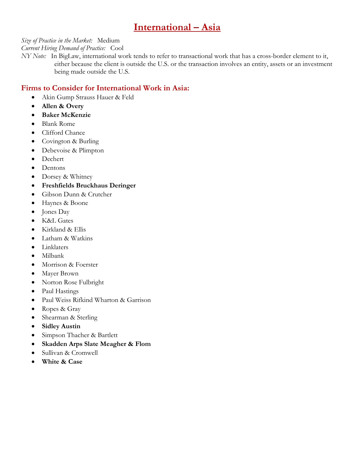# **International – Asia**

### *Size of Practice in the Market:* Medium

*Current Hiring Demand of Practice:* Cool

*NY Note:* In BigLaw, international work tends to refer to transactional work that has a cross-border element to it, either because the client is outside the U.S. or the transaction involves an entity, assets or an investment being made outside the U.S.

### **Firms to Consider for International Work in Asia:**

- Akin Gump Strauss Hauer & Feld
- **Allen & Overy**
- **Baker McKenzie**
- Blank Rome
- Clifford Chance
- Covington & Burling
- Debevoise & Plimpton
- Dechert
- Dentons
- Dorsey & Whitney
- **Freshfields Bruckhaus Deringer**
- Gibson Dunn & Crutcher
- Haynes & Boone
- Jones Day
- K&L Gates
- Kirkland & Ellis
- Latham & Watkins
- Linklaters
- Milbank
- Morrison & Foerster
- Mayer Brown
- Norton Rose Fulbright
- Paul Hastings
- Paul Weiss Rifkind Wharton & Garrison
- Ropes & Gray
- Shearman & Sterling
- **Sidley Austin**
- Simpson Thacher & Bartlett
- **Skadden Arps Slate Meagher & Flom**
- Sullivan & Cromwell
- **White & Case**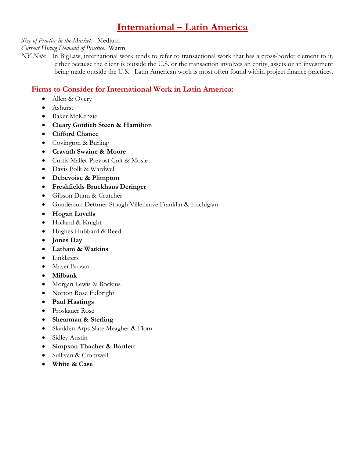# **International – Latin America**

#### *Size of Practice in the Market:* Medium

*Current Hiring Demand of Practice:* Warm

*NY Note:* In BigLaw, international work tends to refer to transactional work that has a cross-border element to it, either because the client is outside the U.S. or the transaction involves an entity, assets or an investment being made outside the U.S. Latin American work is most often found within project finance practices.

### **Firms to Consider for International Work in Latin America:**

- Allen & Overy
- Ashurst
- Baker McKenzie
- **Cleary Gottlieb Steen & Hamilton**
- **Clifford Chance**
- Covington & Burling
- **Cravath Swaine & Moore**
- Curtis Mallet-Prevost Colt & Mosle
- Davis Polk & Wardwell
- **Debevoise & Plimpton**
- **Freshfields Bruckhaus Deringer**
- Gibson Dunn & Crutcher
- Gunderson Dettmer Stough Villeneuve Franklin & Hachigian
- **Hogan Lovells**
- Holland & Knight
- Hughes Hubbard & Reed
- **Jones Day**
- **Latham & Watkins**
- Linklaters
- Mayer Brown
- **Milbank**
- Morgan Lewis & Bockius
- Norton Rose Fulbright
- **Paul Hastings**
- Proskauer Rose
- **Shearman & Sterling**
- Skadden Arps Slate Meagher & Flom
- Sidley Austin
- **Simpson Thacher & Bartlett**
- Sullivan & Cromwell
- **White & Case**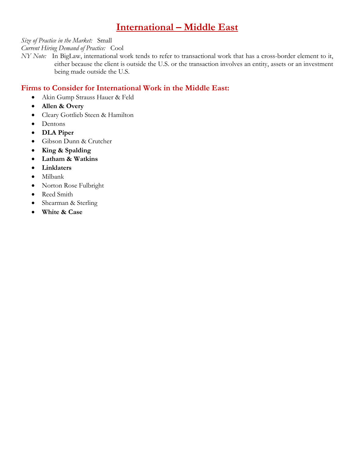# **International – Middle East**

*Size of Practice in the Market:* Small

#### *Current Hiring Demand of Practice:* Cool

*NY Note:* In BigLaw, international work tends to refer to transactional work that has a cross-border element to it, either because the client is outside the U.S. or the transaction involves an entity, assets or an investment being made outside the U.S.

### **Firms to Consider for International Work in the Middle East:**

- Akin Gump Strauss Hauer & Feld
- **Allen & Overy**
- Cleary Gottlieb Steen & Hamilton
- Dentons
- **DLA Piper**
- Gibson Dunn & Crutcher
- **King & Spalding**
- **Latham & Watkins**
- **Linklaters**
- Milbank
- Norton Rose Fulbright
- Reed Smith
- Shearman & Sterling
- **White & Case**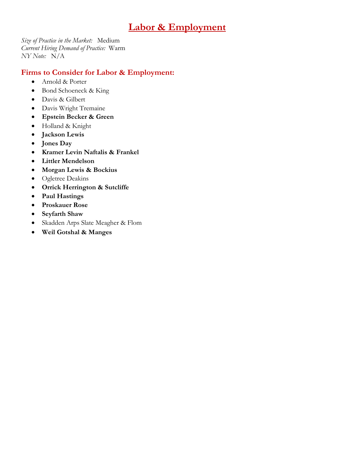# **Labor & Employment**

*Size of Practice in the Market:* Medium *Current Hiring Demand of Practice:* Warm *NY Note:* N/A

### **Firms to Consider for Labor & Employment:**

- Arnold & Porter
- Bond Schoeneck & King
- Davis & Gilbert
- Davis Wright Tremaine
- **Epstein Becker & Green**
- Holland & Knight
- **Jackson Lewis**
- **Jones Day**
- **Kramer Levin Naftalis & Frankel**
- **Littler Mendelson**
- **Morgan Lewis & Bockius**
- Ogletree Deakins
- **Orrick Herrington & Sutcliffe**
- **Paul Hastings**
- **Proskauer Rose**
- **Seyfarth Shaw**
- Skadden Arps Slate Meagher & Flom
- **Weil Gotshal & Manges**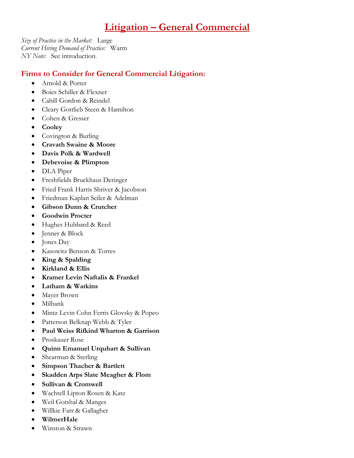# **Litigation – General Commercial**

*Size of Practice in the Market:* Large *Current Hiring Demand of Practice:* Warm *NY Note:* See introduction.

### **Firms to Consider for General Commercial Litigation:**

- Arnold & Porter
- Boies Schiller & Flexner
- Cahill Gordon & Reindel
- Cleary Gottlieb Steen & Hamilton
- Cohen & Gresser
- **Cooley**
- Covington & Burling
- **Cravath Swaine & Moore**
- **Davis Polk & Wardwell**
- **Debevoise & Plimpton**
- DLA Piper
- Freshfields Bruckhaus Deringer
- Fried Frank Harris Shriver & Jacobson
- Friedman Kaplan Seiler & Adelman
- **Gibson Dunn & Crutcher**
- **Goodwin Procter**
- Hughes Hubbard & Reed
- Jenner & Block
- Jones Day
- Kasowitz Benson & Torres
- **King & Spalding**
- **Kirkland & Ellis**
- **Kramer Levin Naftalis & Frankel**
- **Latham & Watkins**
- Mayer Brown
- Milbank
- Mintz Levin Cohn Ferris Glovsky & Popeo
- Patterson Belknap Webb & Tyler
- **Paul Weiss Rifkind Wharton & Garrison**
- Proskauer Rose
- **Quinn Emanuel Urquhart & Sullivan**
- Shearman & Sterling
- **Simpson Thacher & Bartlett**
- **Skadden Arps Slate Meagher & Flom**
- **Sullivan & Cromwell**
- Wachtell Lipton Rosen & Katz
- Weil Gotshal & Manges
- Willkie Farr & Gallagher
- **WilmerHale**
- Winston & Strawn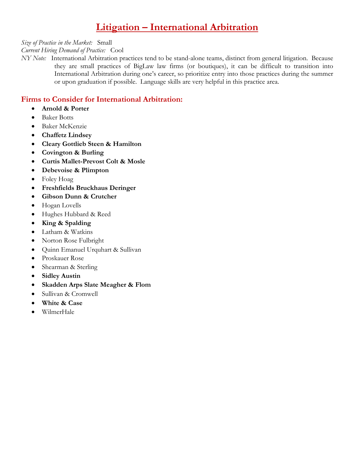# **Litigation – International Arbitration**

*Size of Practice in the Market:* Small

#### *Current Hiring Demand of Practice:* Cool

*NY Note:* International Arbitration practices tend to be stand-alone teams, distinct from general litigation. Because they are small practices of BigLaw law firms (or boutiques), it can be difficult to transition into International Arbitration during one's career, so prioritize entry into those practices during the summer or upon graduation if possible. Language skills are very helpful in this practice area.

### **Firms to Consider for International Arbitration:**

- **Arnold & Porter**
- Baker Botts
- Baker McKenzie
- **Chaffetz Lindsey**
- **Cleary Gottlieb Steen & Hamilton**
- **Covington & Burling**
- **Curtis Mallet-Prevost Colt & Mosle**
- **Debevoise & Plimpton**
- Foley Hoag
- **Freshfields Bruckhaus Deringer**
- **Gibson Dunn & Crutcher**
- Hogan Lovells
- Hughes Hubbard & Reed
- **King & Spalding**
- Latham & Watkins
- Norton Rose Fulbright
- Quinn Emanuel Urquhart & Sullivan
- Proskauer Rose
- Shearman & Sterling
- **Sidley Austin**
- **Skadden Arps Slate Meagher & Flom**
- Sullivan & Cromwell
- **White & Case**
- WilmerHale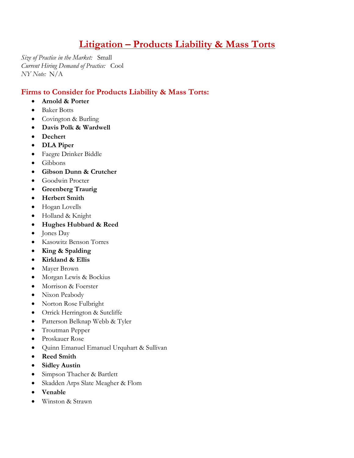# **Litigation – Products Liability & Mass Torts**

*Size of Practice in the Market:* Small *Current Hiring Demand of Practice:* Cool *NY Note:* N/A

### **Firms to Consider for Products Liability & Mass Torts:**

- **Arnold & Porter**
- Baker Botts
- Covington & Burling
- **Davis Polk & Wardwell**
- **Dechert**
- **DLA Piper**
- Faegre Drinker Biddle
- Gibbons
- **Gibson Dunn & Crutcher**
- Goodwin Procter
- **Greenberg Traurig**
- **Herbert Smith**
- Hogan Lovells
- Holland & Knight
- **Hughes Hubbard & Reed**
- Jones Day
- Kasowitz Benson Torres
- **King & Spalding**
- **Kirkland & Ellis**
- Mayer Brown
- Morgan Lewis & Bockius
- Morrison & Foerster
- Nixon Peabody
- Norton Rose Fulbright
- Orrick Herrington & Sutcliffe
- Patterson Belknap Webb & Tyler
- Troutman Pepper
- Proskauer Rose
- Quinn Emanuel Emanuel Urquhart & Sullivan
- **Reed Smith**
- **Sidley Austin**
- Simpson Thacher & Bartlett
- Skadden Arps Slate Meagher & Flom
- **Venable**
- Winston & Strawn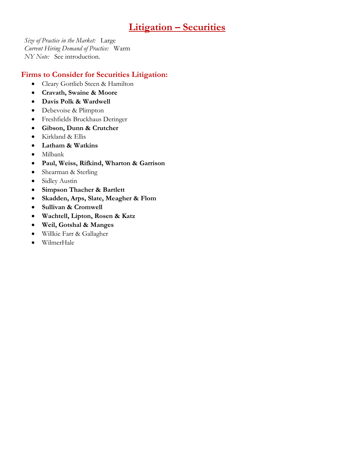# **Litigation – Securities**

*Size of Practice in the Market:* Large *Current Hiring Demand of Practice:* Warm *NY Note:* See introduction.

### **Firms to Consider for Securities Litigation:**

- Cleary Gottlieb Steen & Hamilton
- **Cravath, Swaine & Moore**
- **Davis Polk & Wardwell**
- Debevoise & Plimpton
- Freshfields Bruckhaus Deringer
- **Gibson, Dunn & Crutcher**
- Kirkland & Ellis
- **Latham & Watkins**
- Milbank
- **Paul, Weiss, Rifkind, Wharton & Garrison**
- Shearman & Sterling
- Sidley Austin
- **Simpson Thacher & Bartlett**
- **Skadden, Arps, Slate, Meagher & Flom**
- **Sullivan & Cromwell**
- **Wachtell, Lipton, Rosen & Katz**
- **Weil, Gotshal & Manges**
- Willkie Farr & Gallagher
- WilmerHale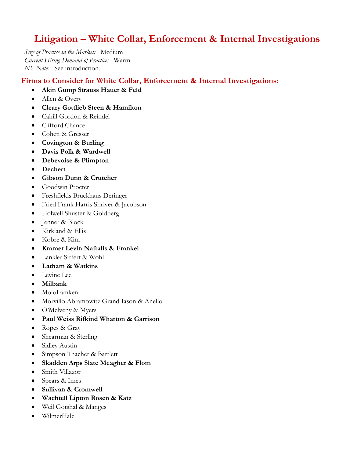# **Litigation – White Collar, Enforcement & Internal Investigations**

*Size of Practice in the Market:* Medium *Current Hiring Demand of Practice:* Warm *NY Note:* See introduction.

### **Firms to Consider for White Collar, Enforcement & Internal Investigations:**

- **Akin Gump Strauss Hauer & Feld**
- Allen & Overy
- **Cleary Gottlieb Steen & Hamilton**
- Cahill Gordon & Reindel
- Clifford Chance
- Cohen & Gresser
- **Covington & Burling**
- **Davis Polk & Wardwell**
- **Debevoise & Plimpton**
- **Dechert**
- **Gibson Dunn & Crutcher**
- Goodwin Procter
- Freshfields Bruckhaus Deringer
- Fried Frank Harris Shriver & Jacobson
- Holwell Shuster & Goldberg
- Jenner & Block
- Kirkland & Ellis
- Kobre & Kim
- **Kramer Levin Naftalis & Frankel**
- Lankler Siffert & Wohl
- **Latham & Watkins**
- Levine Lee
- **Milbank**
- MoloLamken
- Morvillo Abramowitz Grand Iason & Anello
- O'Melveny & Myers
- **Paul Weiss Rifkind Wharton & Garrison**
- Ropes & Gray
- Shearman & Sterling
- Sidley Austin
- Simpson Thacher & Bartlett
- **Skadden Arps Slate Meagher & Flom**
- Smith Villazor
- Spears & Imes
- **Sullivan & Cromwell**
- **Wachtell Lipton Rosen & Katz**
- Weil Gotshal & Manges
- WilmerHale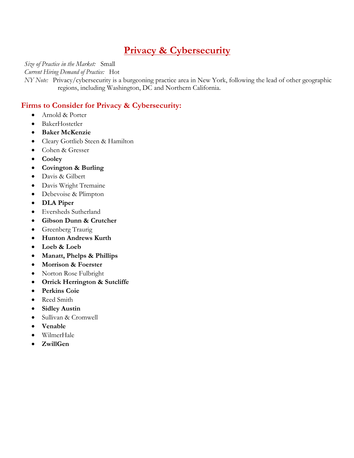# **Privacy & Cybersecurity**

*Size of Practice in the Market:* Small

*Current Hiring Demand of Practice:* Hot

*NY Note:* Privacy/cybersecurity is a burgeoning practice area in New York, following the lead of other geographic regions, including Washington, DC and Northern California.

### **Firms to Consider for Privacy & Cybersecurity:**

- Arnold & Porter
- BakerHostetler
- **Baker McKenzie**
- Cleary Gottlieb Steen & Hamilton
- Cohen & Gresser
- **Cooley**
- **Covington & Burling**
- Davis & Gilbert
- Davis Wright Tremaine
- Debevoise & Plimpton
- **DLA Piper**
- Eversheds Sutherland
- **Gibson Dunn & Crutcher**
- Greenberg Traurig
- **Hunton Andrews Kurth**
- **Loeb & Loeb**
- **Manatt, Phelps & Phillips**
- **Morrison & Foerster**
- Norton Rose Fulbright
- **Orrick Herrington & Sutcliffe**
- **Perkins Coie**
- Reed Smith
- **Sidley Austin**
- Sullivan & Cromwell
- **Venable**
- WilmerHale
- **ZwillGen**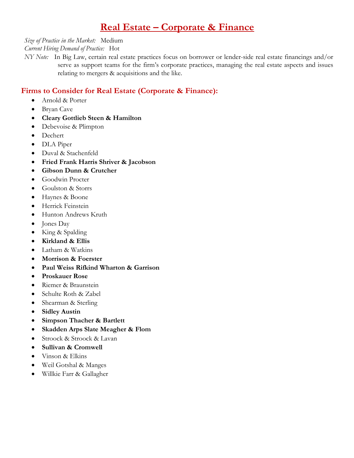# **Real Estate – Corporate & Finance**

### *Size of Practice in the Market:* Medium

*Current Hiring Demand of Practice:* Hot

*NY Note:* In Big Law, certain real estate practices focus on borrower or lender-side real estate financings and/or serve as support teams for the firm's corporate practices, managing the real estate aspects and issues relating to mergers & acquisitions and the like.

### **Firms to Consider for Real Estate (Corporate & Finance):**

- Arnold & Porter
- Bryan Cave
- **Cleary Gottlieb Steen & Hamilton**
- Debevoise & Plimpton
- Dechert
- DLA Piper
- Duval & Stachenfeld
- **Fried Frank Harris Shriver & Jacobson**
- **Gibson Dunn & Crutcher**
- Goodwin Procter
- Goulston & Storrs
- Haynes & Boone
- Herrick Feinstein
- Hunton Andrews Kruth
- Jones Day
- King & Spalding
- **Kirkland & Ellis**
- Latham & Watkins
- **Morrison & Foerster**
- **Paul Weiss Rifkind Wharton & Garrison**
- **Proskauer Rose**
- Riemer & Braunstein
- Schulte Roth & Zabel
- Shearman & Sterling
- **Sidley Austin**
- **Simpson Thacher & Bartlett**
- **Skadden Arps Slate Meagher & Flom**
- Stroock & Stroock & Lavan
- **Sullivan & Cromwell**
- Vinson & Elkins
- Weil Gotshal & Manges
- Willkie Farr & Gallagher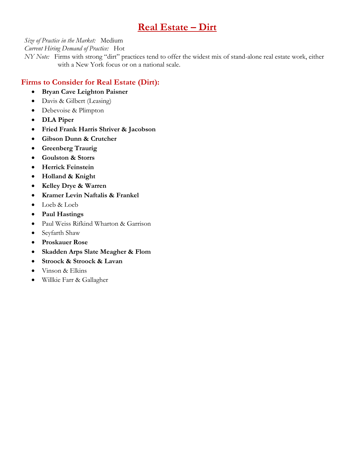# **Real Estate – Dirt**

*Size of Practice in the Market:* Medium

*Current Hiring Demand of Practice:* Hot

*NY Note:* Firms with strong "dirt" practices tend to offer the widest mix of stand-alone real estate work, either with a New York focus or on a national scale.

### **Firms to Consider for Real Estate (Dirt):**

- **Bryan Cave Leighton Paisner**
- Davis & Gilbert (Leasing)
- Debevoise & Plimpton
- **DLA Piper**
- **Fried Frank Harris Shriver & Jacobson**
- **Gibson Dunn & Crutcher**
- **Greenberg Traurig**
- **Goulston & Storrs**
- **Herrick Feinstein**
- **Holland & Knight**
- **Kelley Drye & Warren**
- **Kramer Levin Naftalis & Frankel**
- Loeb & Loeb
- **Paul Hastings**
- Paul Weiss Rifkind Wharton & Garrison
- Seyfarth Shaw
- **Proskauer Rose**
- **Skadden Arps Slate Meagher & Flom**
- **Stroock & Stroock & Lavan**
- Vinson & Elkins
- Willkie Farr & Gallagher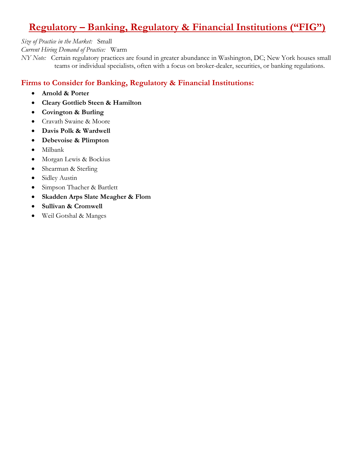# **Regulatory – Banking, Regulatory & Financial Institutions ("FIG")**

*Size of Practice in the Market:* Small

*Current Hiring Demand of Practice:* Warm

*NY Note:* Certain regulatory practices are found in greater abundance in Washington, DC; New York houses small teams or individual specialists, often with a focus on broker-dealer, securities, or banking regulations.

## **Firms to Consider for Banking, Regulatory & Financial Institutions:**

- **Arnold & Porter**
- **Cleary Gottlieb Steen & Hamilton**
- **Covington & Burling**
- Cravath Swaine & Moore
- **Davis Polk & Wardwell**
- **Debevoise & Plimpton**
- Milbank
- Morgan Lewis & Bockius
- Shearman & Sterling
- Sidley Austin
- Simpson Thacher & Bartlett
- **Skadden Arps Slate Meagher & Flom**
- **Sullivan & Cromwell**
- Weil Gotshal & Manges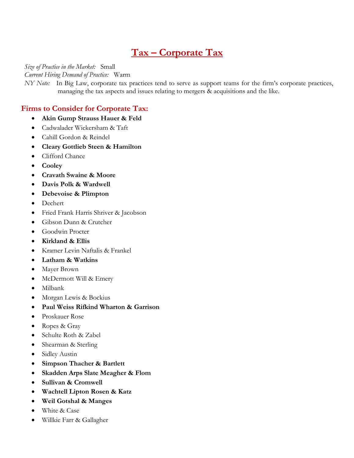# **Tax – Corporate Tax**

*Size of Practice in the Market:* Small

*Current Hiring Demand of Practice:* Warm

*NY Note:* In Big Law, corporate tax practices tend to serve as support teams for the firm's corporate practices, managing the tax aspects and issues relating to mergers & acquisitions and the like.

### **Firms to Consider for Corporate Tax:**

- **Akin Gump Strauss Hauer & Feld**
- Cadwalader Wickersham & Taft
- Cahill Gordon & Reindel
- **Cleary Gottlieb Steen & Hamilton**
- Clifford Chance
- **Cooley**
- **Cravath Swaine & Moore**
- **Davis Polk & Wardwell**
- **Debevoise & Plimpton**
- Dechert
- Fried Frank Harris Shriver & Jacobson
- Gibson Dunn & Crutcher
- Goodwin Procter
- **Kirkland & Ellis**
- Kramer Levin Naftalis & Frankel
- **Latham & Watkins**
- Mayer Brown
- McDermott Will & Emery
- Milbank
- Morgan Lewis & Bockius
- **Paul Weiss Rifkind Wharton & Garrison**
- Proskauer Rose
- Ropes & Gray
- Schulte Roth & Zabel
- Shearman & Sterling
- Sidley Austin
- **Simpson Thacher & Bartlett**
- **Skadden Arps Slate Meagher & Flom**
- **Sullivan & Cromwell**
- **Wachtell Lipton Rosen & Katz**
- **Weil Gotshal & Manges**
- White & Case
- Willkie Farr & Gallagher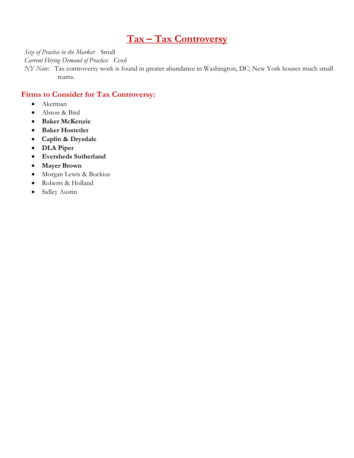# **Tax – Tax Controversy**

*Size of Practice in the Market:* Small

*Current Hiring Demand of Practice:* Cool

*NY Note:* Tax controversy work is found in greater abundance in Washington, DC; New York houses much small teams.

#### **Firms to Consider for Tax Controversy:**

- Akerman
- Alston & Bird
- **Baker McKenzie**
- **Baker Hostetler**
- **Caplin & Drysdale**
- **DLA Piper**
- **Eversheds Sutherland**
- **Mayer Brown**
- Morgan Lewis & Bockius
- Roberts & Holland
- Sidley Austin